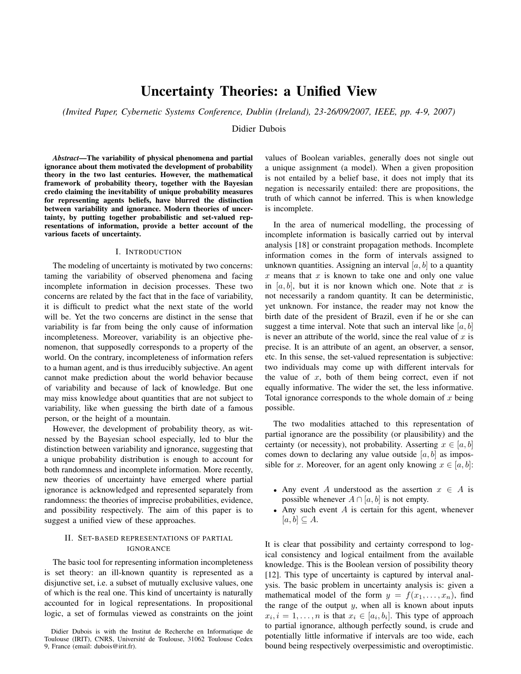# Uncertainty Theories: a Unified View

*(Invited Paper, Cybernetic Systems Conference, Dublin (Ireland), 23-26/09/2007, IEEE, pp. 4-9, 2007)*

Didier Dubois

*Abstract*—The variability of physical phenomena and partial ignorance about them motivated the development of probability theory in the two last centuries. However, the mathematical framework of probability theory, together with the Bayesian credo claiming the inevitability of unique probability measures for representing agents beliefs, have blurred the distinction between variability and ignorance. Modern theories of uncertainty, by putting together probabilistic and set-valued representations of information, provide a better account of the various facets of uncertainty.

#### I. INTRODUCTION

The modeling of uncertainty is motivated by two concerns: taming the variability of observed phenomena and facing incomplete information in decision processes. These two concerns are related by the fact that in the face of variability, it is difficult to predict what the next state of the world will be. Yet the two concerns are distinct in the sense that variability is far from being the only cause of information incompleteness. Moreover, variability is an objective phenomenon, that supposedly corresponds to a property of the world. On the contrary, incompleteness of information refers to a human agent, and is thus irreducibly subjective. An agent cannot make prediction about the world behavior because of variability and because of lack of knowledge. But one may miss knowledge about quantities that are not subject to variability, like when guessing the birth date of a famous person, or the height of a mountain.

However, the development of probability theory, as witnessed by the Bayesian school especially, led to blur the distinction between variability and ignorance, suggesting that a unique probability distribution is enough to account for both randomness and incomplete information. More recently, new theories of uncertainty have emerged where partial ignorance is acknowledged and represented separately from randomness: the theories of imprecise probabilities, evidence, and possibility respectively. The aim of this paper is to suggest a unified view of these approaches.

# II. SET-BASED REPRESENTATIONS OF PARTIAL IGNORANCE

The basic tool for representing information incompleteness is set theory: an ill-known quantity is represented as a disjunctive set, i.e. a subset of mutually exclusive values, one of which is the real one. This kind of uncertainty is naturally accounted for in logical representations. In propositional logic, a set of formulas viewed as constraints on the joint

values of Boolean variables, generally does not single out a unique assignment (a model). When a given proposition is not entailed by a belief base, it does not imply that its negation is necessarily entailed: there are propositions, the truth of which cannot be inferred. This is when knowledge is incomplete.

In the area of numerical modelling, the processing of incomplete information is basically carried out by interval analysis [18] or constraint propagation methods. Incomplete information comes in the form of intervals assigned to unknown quantities. Assigning an interval  $[a, b]$  to a quantity  $x$  means that  $x$  is known to take one and only one value in  $[a, b]$ , but it is nor known which one. Note that x is not necessarily a random quantity. It can be deterministic, yet unknown. For instance, the reader may not know the birth date of the president of Brazil, even if he or she can suggest a time interval. Note that such an interval like  $[a, b]$ is never an attribute of the world, since the real value of  $x$  is precise. It is an attribute of an agent, an observer, a sensor, etc. In this sense, the set-valued representation is subjective: two individuals may come up with different intervals for the value of  $x$ , both of them being correct, even if not equally informative. The wider the set, the less informative. Total ignorance corresponds to the whole domain of  $x$  being possible.

The two modalities attached to this representation of partial ignorance are the possibility (or plausibility) and the certainty (or necessity), not probability. Asserting  $x \in [a, b]$ comes down to declaring any value outside  $[a, b]$  as impossible for x. Moreover, for an agent only knowing  $x \in [a, b]$ :

- Any event A understood as the assertion  $x \in A$  is possible whenever  $A \cap [a, b]$  is not empty.
- Any such event  $A$  is certain for this agent, whenever  $[a, b] \subseteq A$ .

It is clear that possibility and certainty correspond to logical consistency and logical entailment from the available knowledge. This is the Boolean version of possibility theory [12]. This type of uncertainty is captured by interval analysis. The basic problem in uncertainty analysis is: given a mathematical model of the form  $y = f(x_1, \ldots, x_n)$ , find the range of the output  $y$ , when all is known about inputs  $x_i, i = 1, \ldots, n$  is that  $x_i \in [a_i, b_i]$ . This type of approach to partial ignorance, although perfectly sound, is crude and potentially little informative if intervals are too wide, each bound being respectively overpessimistic and overoptimistic.

Didier Dubois is with the Institut de Recherche en Informatique de Toulouse (IRIT), CNRS, Université de Toulouse, 31062 Toulouse Cedex 9, France (email: dubois@irit.fr).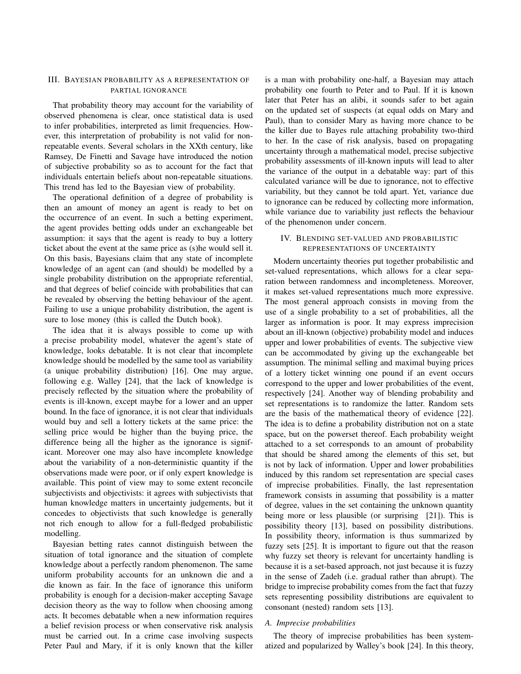## III. BAYESIAN PROBABILITY AS A REPRESENTATION OF PARTIAL IGNORANCE

That probability theory may account for the variability of observed phenomena is clear, once statistical data is used to infer probabilities, interpreted as limit frequencies. However, this interpretation of probability is not valid for nonrepeatable events. Several scholars in the XXth century, like Ramsey, De Finetti and Savage have introduced the notion of subjective probability so as to account for the fact that individuals entertain beliefs about non-repeatable situations. This trend has led to the Bayesian view of probability.

The operational definition of a degree of probability is then an amount of money an agent is ready to bet on the occurrence of an event. In such a betting experiment, the agent provides betting odds under an exchangeable bet assumption: it says that the agent is ready to buy a lottery ticket about the event at the same price as (s)he would sell it. On this basis, Bayesians claim that any state of incomplete knowledge of an agent can (and should) be modelled by a single probability distribution on the appropriate referential, and that degrees of belief coincide with probabilities that can be revealed by observing the betting behaviour of the agent. Failing to use a unique probability distribution, the agent is sure to lose money (this is called the Dutch book).

The idea that it is always possible to come up with a precise probability model, whatever the agent's state of knowledge, looks debatable. It is not clear that incomplete knowledge should be modelled by the same tool as variability (a unique probability distribution) [16]. One may argue, following e.g. Walley [24], that the lack of knowledge is precisely reflected by the situation where the probability of events is ill-known, except maybe for a lower and an upper bound. In the face of ignorance, it is not clear that individuals would buy and sell a lottery tickets at the same price: the selling price would be higher than the buying price, the difference being all the higher as the ignorance is significant. Moreover one may also have incomplete knowledge about the variability of a non-deterministic quantity if the observations made were poor, or if only expert knowledge is available. This point of view may to some extent reconcile subjectivists and objectivists: it agrees with subjectivists that human knowledge matters in uncertainty judgements, but it concedes to objectivists that such knowledge is generally not rich enough to allow for a full-fledged probabilistic modelling.

Bayesian betting rates cannot distinguish between the situation of total ignorance and the situation of complete knowledge about a perfectly random phenomenon. The same uniform probability accounts for an unknown die and a die known as fair. In the face of ignorance this uniform probability is enough for a decision-maker accepting Savage decision theory as the way to follow when choosing among acts. It becomes debatable when a new information requires a belief revision process or when conservative risk analysis must be carried out. In a crime case involving suspects Peter Paul and Mary, if it is only known that the killer

is a man with probability one-half, a Bayesian may attach probability one fourth to Peter and to Paul. If it is known later that Peter has an alibi, it sounds safer to bet again on the updated set of suspects (at equal odds on Mary and Paul), than to consider Mary as having more chance to be the killer due to Bayes rule attaching probability two-third to her. In the case of risk analysis, based on propagating uncertainty through a mathematical model, precise subjective probability assessments of ill-known inputs will lead to alter the variance of the output in a debatable way: part of this calculated variance will be due to ignorance, not to effective variability, but they cannot be told apart. Yet, variance due to ignorance can be reduced by collecting more information, while variance due to variability just reflects the behaviour of the phenomenon under concern.

# IV. BLENDING SET-VALUED AND PROBABILISTIC REPRESENTATIONS OF UNCERTAINTY

Modern uncertainty theories put together probabilistic and set-valued representations, which allows for a clear separation between randomness and incompleteness. Moreover, it makes set-valued representations much more expressive. The most general approach consists in moving from the use of a single probability to a set of probabilities, all the larger as information is poor. It may express imprecision about an ill-known (objective) probability model and induces upper and lower probabilities of events. The subjective view can be accommodated by giving up the exchangeable bet assumption. The minimal selling and maximal buying prices of a lottery ticket winning one pound if an event occurs correspond to the upper and lower probabilities of the event, respectively [24]. Another way of blending probability and set representations is to randomize the latter. Random sets are the basis of the mathematical theory of evidence [22]. The idea is to define a probability distribution not on a state space, but on the powerset thereof. Each probability weight attached to a set corresponds to an amount of probability that should be shared among the elements of this set, but is not by lack of information. Upper and lower probabilities induced by this random set representation are special cases of imprecise probabilities. Finally, the last representation framework consists in assuming that possibility is a matter of degree, values in the set containing the unknown quantity being more or less plausible (or surprising [21]). This is possibility theory [13], based on possibility distributions. In possibility theory, information is thus summarized by fuzzy sets [25]. It is important to figure out that the reason why fuzzy set theory is relevant for uncertainty handling is because it is a set-based approach, not just because it is fuzzy in the sense of Zadeh (i.e. gradual rather than abrupt). The bridge to imprecise probability comes from the fact that fuzzy sets representing possibility distributions are equivalent to consonant (nested) random sets [13].

#### *A. Imprecise probabilities*

The theory of imprecise probabilities has been systematized and popularized by Walley's book [24]. In this theory,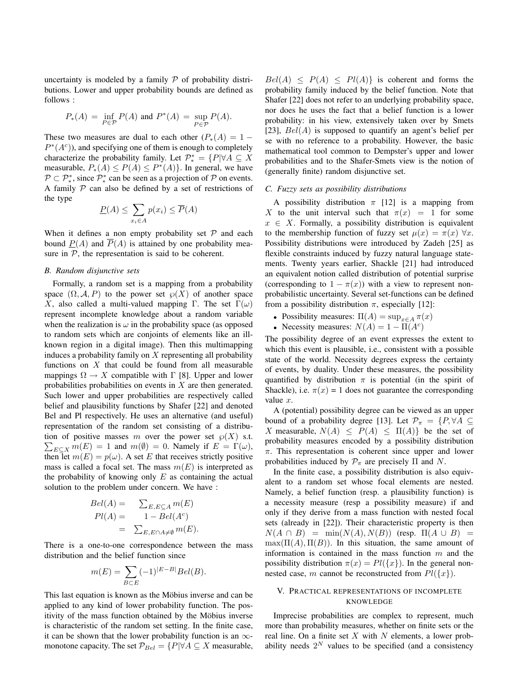uncertainty is modeled by a family  $P$  of probability distributions. Lower and upper probability bounds are defined as follows :

$$
P_*(A) = \inf_{P \in \mathcal{P}} P(A) \text{ and } P^*(A) = \sup_{P \in \mathcal{P}} P(A).
$$

These two measures are dual to each other  $(P_*(A) = 1 P^*(A^c)$ , and specifying one of them is enough to completely characterize the probability family. Let  $\mathcal{P}^*_* = \{P | \forall A \subseteq X\}$ measurable,  $P_*(A) \le P(A) \le P^*(A)$ . In general, we have  $\mathcal{P} \subset \mathcal{P}^*_*$ , since  $\mathcal{P}^*_*$  can be seen as a projection of  $\mathcal P$  on events. A family  $P$  can also be defined by a set of restrictions of the type

$$
\underline{P}(A) \le \sum_{x_i \in A} p(x_i) \le \overline{P}(A)
$$

When it defines a non empty probability set  $P$  and each bound  $P(A)$  and  $\overline{P}(A)$  is attained by one probability measure in  $P$ , the representation is said to be coherent.

## *B. Random disjunctive sets*

Formally, a random set is a mapping from a probability space  $(\Omega, \mathcal{A}, P)$  to the power set  $\wp(X)$  of another space X, also called a multi-valued mapping Γ. The set  $\Gamma(\omega)$ represent incomplete knowledge about a random variable when the realization is  $\omega$  in the probability space (as opposed to random sets which are conjoints of elements like an illknown region in a digital image). Then this multimapping induces a probability family on  $X$  representing all probability functions on  $X$  that could be found from all measurable mappings  $\Omega \to X$  compatible with  $\Gamma$  [8]. Upper and lower probabilities probabilities on events in X are then generated. Such lower and upper probabilities are respectively called belief and plausibility functions by Shafer [22] and denoted Bel and Pl respectively. He uses an alternative (and useful) representation of the random set consisting of a distribu- $\sum_{E \subseteq X} m(E) = 1$  and  $m(\emptyset) = 0$ . Namely if  $E = \Gamma(\omega)$ , tion of positive masses m over the power set  $\wp(X)$  s.t. then let  $m(E) = p(\omega)$ . A set E that receives strictly positive mass is called a focal set. The mass  $m(E)$  is interpreted as the probability of knowing only  $E$  as containing the actual solution to the problem under concern. We have :

$$
Bel(A) = \sum_{E, E \subseteq A} m(E)
$$
  
\n
$$
Pl(A) = 1 - Bel(Ac)
$$
  
\n
$$
= \sum_{E, E \cap A \neq \emptyset} m(E).
$$

There is a one-to-one correspondence between the mass distribution and the belief function since

$$
m(E) = \sum_{B \subset E} (-1)^{|E - B|} Bel(B).
$$

This last equation is known as the Möbius inverse and can be applied to any kind of lower probability function. The positivity of the mass function obtained by the Möbius inverse is characteristic of the random set setting. In the finite case, it can be shown that the lower probability function is an  $\infty$ monotone capacity. The set  $\mathcal{P}_{Bel} = \{P | \forall A \subseteq X \text{ measurable},\}$ 

 $Bel(A) \leq P(A) \leq Pl(A)$  is coherent and forms the probability family induced by the belief function. Note that Shafer [22] does not refer to an underlying probability space, nor does he uses the fact that a belief function is a lower probability: in his view, extensively taken over by Smets [23],  $Bel(A)$  is supposed to quantify an agent's belief per se with no reference to a probability. However, the basic mathematical tool common to Dempster's upper and lower probabilities and to the Shafer-Smets view is the notion of (generally finite) random disjunctive set.

#### *C. Fuzzy sets as possibility distributions*

A possibility distribution  $\pi$  [12] is a mapping from X to the unit interval such that  $\pi(x) = 1$  for some  $x \in X$ . Formally, a possibility distribution is equivalent to the membership function of fuzzy set  $\mu(x) = \pi(x) \,\forall x$ . Possibility distributions were introduced by Zadeh [25] as flexible constraints induced by fuzzy natural language statements. Twenty years earlier, Shackle [21] had introduced an equivalent notion called distribution of potential surprise (corresponding to  $1 - \pi(x)$ ) with a view to represent nonprobabilistic uncertainty. Several set-functions can be defined from a possibility distribution  $\pi$ , especially [12]:

- Possibility measures:  $\Pi(A) = \sup_{x \in A} \pi(x)$
- Necessity measures:  $N(A) = 1 \Pi(A^c)$

The possibility degree of an event expresses the extent to which this event is plausible, i.e., consistent with a possible state of the world. Necessity degrees express the certainty of events, by duality. Under these measures, the possibility quantified by distribution  $\pi$  is potential (in the spirit of Shackle), i.e.  $\pi(x) = 1$  does not guarantee the corresponding value  $x$ .

A (potential) possibility degree can be viewed as an upper bound of a probability degree [13]. Let  $\mathcal{P}_{\pi} = \{P, \forall A \subseteq \mathcal{P} \}$ X measurable,  $N(A) \leq P(A) \leq \Pi(A)$  be the set of probability measures encoded by a possibility distribution  $\pi$ . This representation is coherent since upper and lower probabilities induced by  $\mathcal{P}_{\pi}$  are precisely  $\Pi$  and  $N$ .

In the finite case, a possibility distribution is also equivalent to a random set whose focal elements are nested. Namely, a belief function (resp. a plausibility function) is a necessity measure (resp a possibility measure) if and only if they derive from a mass function with nested focal sets (already in [22]). Their characteristic property is then  $N(A \cap B) = \min(N(A), N(B))$  (resp.  $\Pi(A \cup B) =$  $\max(\Pi(A), \Pi(B))$ . In this situation, the same amount of information is contained in the mass function  $m$  and the possibility distribution  $\pi(x) = Pl(\lbrace x \rbrace)$ . In the general nonnested case, m cannot be reconstructed from  $Pl({x}).$ 

# V. PRACTICAL REPRESENTATIONS OF INCOMPLETE KNOWLEDGE

Imprecise probabilities are complex to represent, much more than probability measures, whether on finite sets or the real line. On a finite set  $X$  with  $N$  elements, a lower probability needs  $2^N$  values to be specified (and a consistency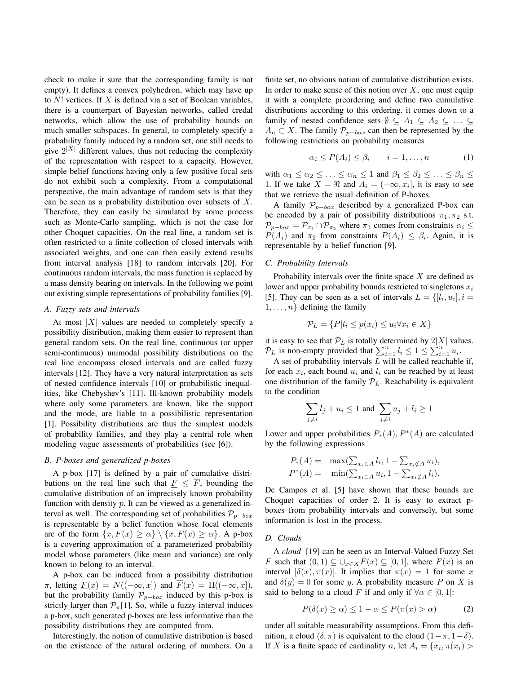check to make it sure that the corresponding family is not empty). It defines a convex polyhedron, which may have up to  $N!$  vertices. If  $X$  is defined via a set of Boolean variables, there is a counterpart of Bayesian networks, called credal networks, which allow the use of probability bounds on much smaller subspaces. In general, to completely specify a probability family induced by a random set, one still needs to give  $2^{|X|}$  different values, thus not reducing the complexity of the representation with respect to a capacity. However, simple belief functions having only a few positive focal sets do not exhibit such a complexity. From a computational perspective, the main advantage of random sets is that they can be seen as a probability distribution over subsets of X. Therefore, they can easily be simulated by some process such as Monte-Carlo sampling, which is not the case for other Choquet capacities. On the real line, a random set is often restricted to a finite collection of closed intervals with associated weights, and one can then easily extend results from interval analysis [18] to random intervals [20]. For continuous random intervals, the mass function is replaced by a mass density bearing on intervals. In the following we point out existing simple representations of probability families [9].

#### *A. Fuzzy sets and intervals*

At most  $|X|$  values are needed to completely specify a possibility distribution, making them easier to represent than general random sets. On the real line, continuous (or upper semi-continuous) unimodal possibility distributions on the real line encompass closed intervals and are called fuzzy intervals [12]. They have a very natural interpretation as sets of nested confidence intervals [10] or probabilistic inequalities, like Chebyshev's [11]. Ill-known probability models where only some parameters are known, like the support and the mode, are liable to a possibilistic representation [1]. Possibility distributions are thus the simplest models of probability families, and they play a central role when modeling vague assessments of probabilities (see [6]).

#### *B. P-boxes and generalized p-boxes*

A p-box [17] is defined by a pair of cumulative distributions on the real line such that  $\overline{F} \leq \overline{F}$ , bounding the cumulative distribution of an imprecisely known probability function with density  $p$ . It can be viewed as a generalized interval as well. The corresponding set of probabilities  $\mathcal{P}_{p-box}$ is representable by a belief function whose focal elements are of the form  $\{x, \overline{F}(x) \ge \alpha\} \setminus \{x, F(x) \ge \alpha\}$ . A p-box is a covering approximation of a parameterized probability model whose parameters (like mean and variance) are only known to belong to an interval.

A p-box can be induced from a possibility distribution  $\pi$ , letting  $\underline{F}(x) = N((-\infty, x])$  and  $\overline{F}(x) = \Pi((-\infty, x]),$ but the probability family  $\mathcal{P}_{p-box}$  induced by this p-box is strictly larger than  $\mathcal{P}_{\pi}[1]$ . So, while a fuzzy interval induces a p-box, such generated p-boxes are less informative than the possibility distributions they are computed from.

Interestingly, the notion of cumulative distribution is based on the existence of the natural ordering of numbers. On a finite set, no obvious notion of cumulative distribution exists. In order to make sense of this notion over  $X$ , one must equip it with a complete preordering and define two cumulative distributions according to this ordering. it comes down to a family of nested confidence sets  $\emptyset \subseteq A_1 \subseteq A_2 \subseteq \ldots \subseteq$  $A_n \subset X$ . The family  $\mathcal{P}_{p-box}$  can then be represented by the following restrictions on probability measures

$$
\alpha_i \le P(A_i) \le \beta_i \qquad i = 1, \dots, n \tag{1}
$$

with  $\alpha_1 \leq \alpha_2 \leq \ldots \leq \alpha_n \leq 1$  and  $\beta_1 \leq \beta_2 \leq \ldots \leq \beta_n \leq$ 1. If we take  $X = \Re$  and  $A_i = (-\infty, x_i]$ , it is easy to see that we retrieve the usual definition of P-boxes.

A family  $\mathcal{P}_{p-box}$  described by a generalized P-box can be encoded by a pair of possibility distributions  $\pi_1, \pi_2$  s.t.  $\mathcal{P}_{p-box} = \mathcal{P}_{\pi_1} \cap \mathcal{P}_{\pi_2}$  where  $\pi_1$  comes from constraints  $\alpha_i \leq$  $P(A_i)$  and  $\pi_2$  from constraints  $P(A_i) \leq \beta_i$ . Again, it is representable by a belief function [9].

### *C. Probability Intervals*

Probability intervals over the finite space  $X$  are defined as lower and upper probability bounds restricted to singletons  $x_i$ [5]. They can be seen as a set of intervals  $L = \{[l_i, u_i], i =$  $1, \ldots, n$  defining the family

$$
\mathcal{P}_L = \{ P | l_i \le p(x_i) \le u_i \forall x_i \in X \}
$$

it is easy to see that  $P_L$  is totally determined by  $2|X|$  values.  $\mathcal{P}_L$  is non-empty provided that  $\sum_{i=1}^n l_i \leq 1 \leq \sum_{i=1}^n u_i$ .

A set of probability intervals  $L$  will be called reachable if, for each  $x_i$ , each bound  $u_i$  and  $l_i$  can be reached by at least one distribution of the family  $P_L$ . Reachability is equivalent to the condition

$$
\sum_{j \neq i} l_j + u_i \leq 1 \text{ and } \sum_{j \neq i} u_j + l_i \geq 1
$$

Lower and upper probabilities  $P_*(A)$ ,  $P^*(A)$  are calculated by the following expressions

$$
P_*(A) = \max(\sum_{x_i \in A} l_i, 1 - \sum_{x_i \notin A} u_i),
$$
  

$$
P^*(A) = \min(\sum_{x_i \in A} u_i, 1 - \sum_{x_i \notin A} l_i).
$$

De Campos et al. [5] have shown that these bounds are Choquet capacities of order 2. It is easy to extract pboxes from probability intervals and conversely, but some information is lost in the process.

#### *D. Clouds*

A *cloud* [19] can be seen as an Interval-Valued Fuzzy Set F such that  $(0, 1) \subseteq \bigcup_{x \in X} F(x) \subseteq [0, 1]$ , where  $F(x)$  is an interval  $[\delta(x), \pi(x)]$ . It implies that  $\pi(x) = 1$  for some x and  $\delta(y) = 0$  for some y. A probability measure P on X is said to belong to a cloud F if and only if  $\forall \alpha \in [0,1]$ :

$$
P(\delta(x) \ge \alpha) \le 1 - \alpha \le P(\pi(x) > \alpha)
$$
 (2)

under all suitable measurability assumptions. From this definition, a cloud  $(\delta, \pi)$  is equivalent to the cloud  $(1-\pi, 1-\delta)$ . If X is a finite space of cardinality n, let  $A_i = \{x_i, \pi(x_i) >$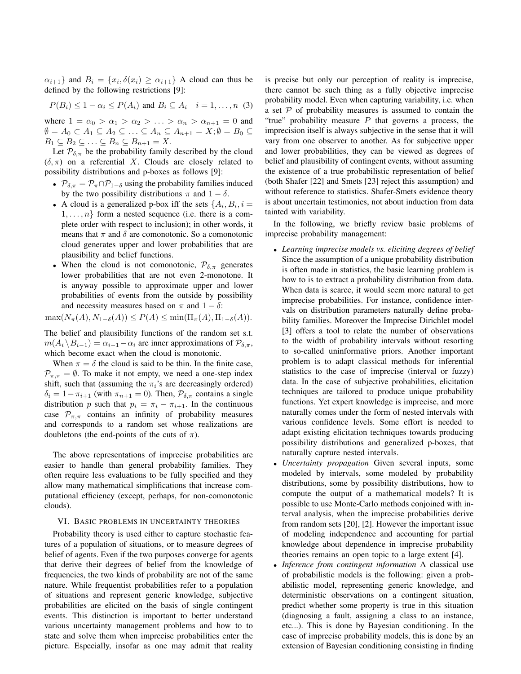$\{\alpha_{i+1}\}\$  and  $B_i = \{x_i, \delta(x_i) \geq \alpha_{i+1}\}\)$  A cloud can thus be defined by the following restrictions [9]:

$$
P(B_i) \leq 1 - \alpha_i \leq P(A_i) \text{ and } B_i \subseteq A_i \quad i = 1, \dots, n \tag{3}
$$

where  $1 = \alpha_0 > \alpha_1 > \alpha_2 > \ldots > \alpha_n > \alpha_{n+1} = 0$  and  $\emptyset = A_0 \subset A_1 \subseteq A_2 \subseteq \ldots \subseteq A_n \subseteq A_{n+1} = X; \emptyset = B_0 \subseteq$  $B_1 \subseteq B_2 \subseteq \ldots \subseteq B_n \subseteq B_{n+1} = X.$ 

Let  $P_{\delta,\pi}$  be the probability family described by the cloud  $(\delta, \pi)$  on a referential X. Clouds are closely related to possibility distributions and p-boxes as follows [9]:

- $\mathcal{P}_{\delta,\pi} = \mathcal{P}_{\pi} \cap \mathcal{P}_{1-\delta}$  using the probability families induced by the two possibility distributions  $\pi$  and  $1 - \delta$ .
- A cloud is a generalized p-box iff the sets  $\{A_i, B_i, i =$  $1, \ldots, n$  form a nested sequence (i.e. there is a complete order with respect to inclusion); in other words, it means that  $\pi$  and  $\delta$  are comonotonic. So a comonotonic cloud generates upper and lower probabilities that are plausibility and belief functions.
- When the cloud is not comonotonic,  $\mathcal{P}_{\delta,\pi}$  generates lower probabilities that are not even 2-monotone. It is anyway possible to approximate upper and lower probabilities of events from the outside by possibility and necessity measures based on  $\pi$  and  $1 - \delta$ :

 $\max(N_{\pi}(A), N_{1-\delta}(A)) \leq P(A) \leq \min(\Pi_{\pi}(A), \Pi_{1-\delta}(A)).$ 

The belief and plausibility functions of the random set s.t.  $m(A_i \backslash B_{i-1}) = \alpha_{i-1} - \alpha_i$  are inner approximations of  $\mathcal{P}_{\delta,\pi}$ , which become exact when the cloud is monotonic.

When  $\pi = \delta$  the cloud is said to be thin. In the finite case,  $\mathcal{P}_{\pi,\pi} = \emptyset$ . To make it not empty, we need a one-step index shift, such that (assuming the  $\pi_i$ 's are decreasingly ordered)  $\delta_i = 1 - \pi_{i+1}$  (with  $\pi_{n+1} = 0$ ). Then,  $\mathcal{P}_{\delta,\pi}$  contains a single distribution p such that  $p_i = \pi_i - \pi_{i+1}$ . In the continuous case  $\mathcal{P}_{\pi,\pi}$  contains an infinity of probability measures and corresponds to a random set whose realizations are doubletons (the end-points of the cuts of  $\pi$ ).

The above representations of imprecise probabilities are easier to handle than general probability families. They often require less evaluations to be fully specified and they allow many mathematical simplifications that increase computational efficiency (except, perhaps, for non-comonotonic clouds).

## VI. BASIC PROBLEMS IN UNCERTAINTY THEORIES

Probability theory is used either to capture stochastic features of a population of situations, or to measure degrees of belief of agents. Even if the two purposes converge for agents that derive their degrees of belief from the knowledge of frequencies, the two kinds of probability are not of the same nature. While frequentist probabilities refer to a population of situations and represent generic knowledge, subjective probabilities are elicited on the basis of single contingent events. This distinction is important to better understand various uncertainty management problems and how to to state and solve them when imprecise probabilities enter the picture. Especially, insofar as one may admit that reality is precise but only our perception of reality is imprecise, there cannot be such thing as a fully objective imprecise probability model. Even when capturing variability, i.e. when a set  $P$  of probability measures is assumed to contain the "true" probability measure  $P$  that governs a process, the imprecision itself is always subjective in the sense that it will vary from one observer to another. As for subjective upper and lower probabilities, they can be viewed as degrees of belief and plausibility of contingent events, without assuming the existence of a true probabilistic representation of belief (both Shafer [22] and Smets [23] reject this assumption) and without reference to statistics. Shafer-Smets evidence theory is about uncertain testimonies, not about induction from data tainted with variability.

In the following, we briefly review basic problems of imprecise probability management:

- *Learning imprecise models vs. eliciting degrees of belief* Since the assumption of a unique probability distribution is often made in statistics, the basic learning problem is how to is to extract a probability distribution from data. When data is scarce, it would seem more natural to get imprecise probabilities. For instance, confidence intervals on distribution parameters naturally define probability families. Moreover the Imprecise Dirichlet model [3] offers a tool to relate the number of observations to the width of probability intervals without resorting to so-called uninformative priors. Another important problem is to adapt classical methods for inferential statistics to the case of imprecise (interval or fuzzy) data. In the case of subjective probabilities, elicitation techniques are tailored to produce unique probability functions. Yet expert knowledge is imprecise, and more naturally comes under the form of nested intervals with various confidence levels. Some effort is needed to adapt existing elicitation techniques towards producing possibility distributions and generalized p-boxes, that naturally capture nested intervals.
- *Uncertainty propagation* Given several inputs, some modeled by intervals, some modeled by probability distributions, some by possibility distributions, how to compute the output of a mathematical models? It is possible to use Monte-Carlo methods conjoined with interval analysis, when the imprecise probabilities derive from random sets [20], [2]. However the important issue of modeling independence and accounting for partial knowledge about dependence in imprecise probability theories remains an open topic to a large extent [4].
- *Inference from contingent information* A classical use of probabilistic models is the following: given a probabilistic model, representing generic knowledge, and deterministic observations on a contingent situation, predict whether some property is true in this situation (diagnosing a fault, assigning a class to an instance, etc...). This is done by Bayesian conditioning. In the case of imprecise probability models, this is done by an extension of Bayesian conditioning consisting in finding